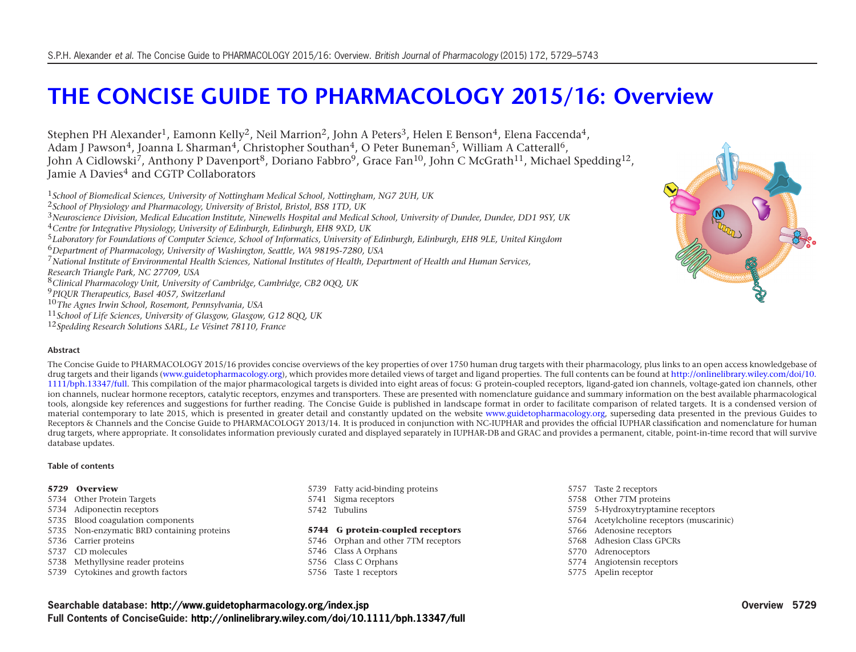## **[THE CONCISE GUIDE TO PHARMACOLOGY 2015/16: Overview](http://www.guidetopharmacology.org/GRAC/FamilyDisplayForward?familyId=5734)**

Stephen PH Alexander<sup>1</sup>, Eamonn Kelly<sup>2</sup>, Neil Marrion<sup>2</sup>, John A Peters<sup>3</sup>, Helen E Benson<sup>4</sup>, Elena Faccenda<sup>4</sup>, Adam J Pawson<sup>4</sup>, Joanna L Sharman<sup>4</sup>, Christopher Southan<sup>4</sup>, O Peter Buneman<sup>5</sup>, William A Catterall<sup>6</sup>, John A Cidlowski<sup>7</sup>, Anthony P Davenport<sup>8</sup>, Doriano Fabbro<sup>9</sup>, Grace Fan<sup>10</sup>, John C McGrath<sup>11</sup>, Michael Spedding<sup>12</sup>, Jamie A Davies<sup>4</sup> and CGTP Collaborators

<sup>1</sup>*School of Biomedical Sciences, University of Nottingham Medical School, Nottingham, NG7 2UH, UK*

- <sup>2</sup>*School of Physiology and Pharmacology, University of Bristol, Bristol, BS8 1TD, UK*
- <sup>3</sup>*Neuroscience Division, Medical Education Institute, Ninewells Hospital and Medical School, University of Dundee, Dundee, DD1 9SY, UK*
- <sup>4</sup>*Centre for Integrative Physiology, University of Edinburgh, Edinburgh, EH8 9XD, UK*
- <sup>5</sup>*Laboratory for Foundations of Computer Science, School of Informatics, University of Edinburgh, Edinburgh, EH8 9LE, United Kingdom*
- <sup>6</sup>*Department of Pharmacology, University of Washington, Seattle, WA 98195-7280, USA*
- <sup>7</sup>*National Institute of Environmental Health Sciences, National Institutes of Health, Department of Health and Human Services,*

*Research Triangle Park, NC 27709, USA*

- <sup>8</sup>*Clinical Pharmacology Unit, University of Cambridge, Cambridge, CB2 0QQ, UK*
- <sup>9</sup>*PIQUR Therapeutics, Basel 4057, Switzerland*
- <sup>10</sup>*The Agnes Irwin School, Rosemont, Pennsylvania, USA*
- <sup>11</sup>*School of Life Sciences, University of Glasgow, Glasgow, G12 8QQ, UK*
- <sup>12</sup>*Spedding Research Solutions SARL, Le Vésinet 78110, France*

### **Abstract**

The Concise Guide to PHARMACOLOGY 2015/16 provides concise overviews of the key properties of over 1750 human drug targets with their pharmacology, plus links to an open access knowledgebase of drug targets and their ligands [\(www.guidetopharmacology.org\)](http://www.guidetopharmacology.org), which provides more detailed views of target and ligand properties. The full contents can be found at [http://onlinelibrary.wiley.com/doi/10.](http://onlinelibrary.wiley.com/doi/10. 1111/bph.13347/full) [1111/bph.13347/full.](http://onlinelibrary.wiley.com/doi/10. 1111/bph.13347/full) This compilation of the major pharmacological targets is divided into eight areas of focus: G protein-coupled receptors, ligand-gated ion channels, voltage-gated ion channels, other ion channels, nuclear hormone receptors, catalytic receptors, enzymes and transporters. These are presented with nomenclature guidance and summary information on the best available pharmacological tools, alongside key references and suggestions for further reading. The Concise Guide is published in landscape format in order to facilitate comparison of related targets. It is a condensed version of material contemporary to late 2015, which is presented in greater detail and constantly updated on the website [www.guidetopharmacology.org,](http://www.guidetopharmacology.org) superseding data presented in the previous Guides to Receptors & Channels and the Concise Guide to PHARMACOLOGY 2013/14. It is produced in conjunction with NC-IUPHAR and provides the official IUPHAR classification and nomenclature for human drug targets, where appropriate. It consolidates information previously curated and displayed separately in IUPHAR-DB and GRAC and provides a permanent, citable, point-in-time record that will survive database updates.

### **Table of contents**

### **5729 Overview**

- 5734 Other Protein Targets
- 5734 Adiponectin receptors
- 5735 Blood coagulation components
- 5735 Non-enzymatic BRD containing proteins
- 5736 Carrier proteins
- 5737 CD molecules
- 5738 Methyllysine reader proteins
- 5739 Cytokines and growth factors

### 5739 Fatty acid-binding proteins

- 5741 Sigma receptors
- 5742 Tubulins

### **5744 G protein-coupled receptors**

- 5746 Orphan and other 7TM receptors
- 5746 Class A Orphans
- 5756 Class C Orphans
- 5756 Taste 1 receptors
- 5757 Taste 2 receptors
- 5758 Other 7TM proteins
- 5759 5-Hydroxytryptamine receptors
- 5764 Acetylcholine receptors (muscarinic)
- 5766 Adenosine receptors
- 5768 Adhesion Class GPCRs
- 5770 Adrenoceptors
- 5774 Angiotensin receptors
- 5775 Apelin receptor

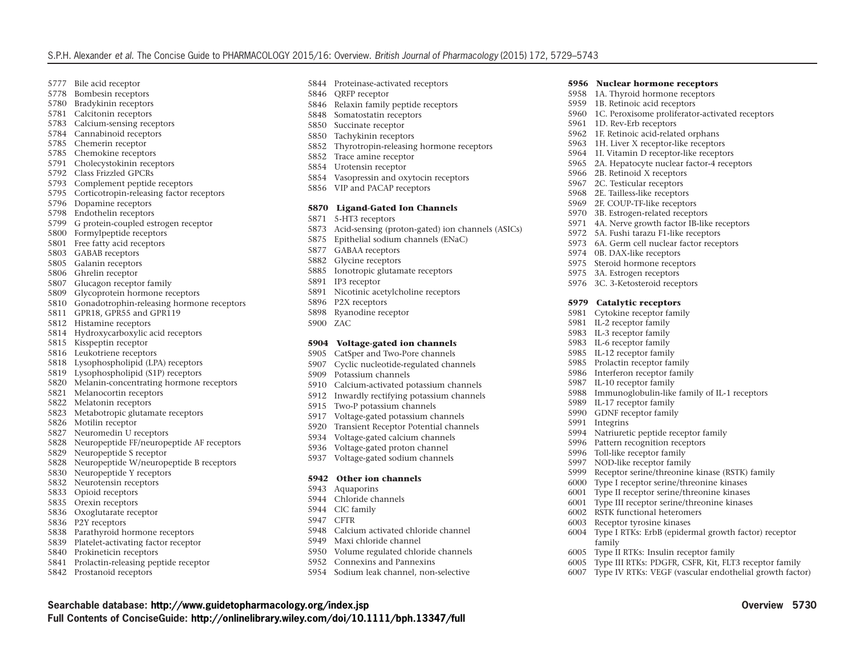- 5777 Bile acid receptor
- 5778 Bombesin receptors
- 5780 Bradykinin receptors
- 5781 Calcitonin receptors
- 5783 Calcium-sensing receptors
- 5784 Cannabinoid receptors
- 5785 Chemerin receptor
- 5785 Chemokine receptors
- 5791 Cholecystokinin receptors
- 5792 Class Frizzled GPCRs
- 5793 Complement peptide receptors
- 5795 Corticotropin-releasing factor receptors
- 5796 Dopamine receptors
- 5798 Endothelin receptors
- 5799 G protein-coupled estrogen receptor
- 5800 Formylpeptide receptors
- 5801 Free fatty acid receptors
- 5803 GABAB receptors
- 5805 Galanin receptors
- 5806 Ghrelin receptor
- 5807 Glucagon receptor family
- 5809 Glycoprotein hormone receptors
- 5810 Gonadotrophin-releasing hormone receptors
- 5811 GPR18, GPR55 and GPR119
- 5812 Histamine receptors
- 5814 Hydroxycarboxylic acid receptors
- 5815 Kisspeptin receptor
- 5816 Leukotriene receptors
- 5818 Lysophospholipid (LPA) receptors
- 5819 Lysophospholipid (S1P) receptors
- 5820 Melanin-concentrating hormone receptors
- 5821 Melanocortin receptors
- 5822 Melatonin receptors
- 5823 Metabotropic glutamate receptors
- 5826 Motilin receptor
- 5827 Neuromedin U receptors
- 5828 Neuropeptide FF/neuropeptide AF receptors
- 5829 Neuropeptide S receptor
- 5828 Neuropeptide W/neuropeptide B receptors
- 5830 Neuropeptide Y receptors
- 5832 Neurotensin receptors
- 5833 Opioid receptors
- 5835 Orexin receptors
- 5836 Oxoglutarate receptor
- 5836 P2Y receptors
- 5838 Parathyroid hormone receptors
- 5839 Platelet-activating factor receptor
- 5840 Prokineticin receptors
- 5841 Prolactin-releasing peptide receptor
- 5842 Prostanoid receptors
- 5844 Proteinase-activated receptors
- 5846 QRFP receptor
- 5846 Relaxin family peptide receptors
- 5848 Somatostatin receptors
- 5850 Succinate receptor
- 5850 Tachykinin receptors
- 5852 Thyrotropin-releasing hormone receptors
- 5852 Trace amine receptor
- 5854 Urotensin receptor
- 5854 Vasopressin and oxytocin receptors
- 5856 VIP and PACAP receptors

### **5870 Ligand-Gated Ion Channels**

- 5871 5-HT3 receptors
- 5873 Acid-sensing (proton-gated) ion channels (ASICs)
- 5875 Epithelial sodium channels (ENaC)
- 5877 GABAA receptors
- 5882 Glycine receptors
- 5885 Ionotropic glutamate receptors
- 5891 IP3 receptor
- 5891 Nicotinic acetylcholine receptors
- 5896 P2X receptors
- 5898 Ryanodine receptor
- 5900 ZAC

### **5904 Voltage-gated ion channels**

- 5905 CatSper and Two-Pore channels
- 5907 Cyclic nucleotide-regulated channels
- 5909 Potassium channels
- 5910 Calcium-activated potassium channels
- 5912 Inwardly rectifying potassium channels
- 5915 Two-P potassium channels
- 5917 Voltage-gated potassium channels
- 5920 Transient Receptor Potential channels
- 5934 Voltage-gated calcium channels
- 5936 Voltage-gated proton channel
- 5937 Voltage-gated sodium channels

### **5942 Other ion channels**

- 5943 Aquaporins
- 5944 Chloride channels
- 5944 ClC family
- 5947 CFTR

**Full Contents of ConciseGuide: <http://onlinelibrary.wiley.com/doi/10.1111/bph.13347/full>**

- 5948 Calcium activated chloride channel
- 5949 Maxi chloride channel
- 5950 Volume regulated chloride channels
- 5952 Connexins and Pannexins
- 5954 Sodium leak channel, non-selective

**Searchable database: <http://www.guidetopharmacology.org/index.jsp> Overview 5730**

### **5956 Nuclear hormone receptors**

5958 1A. Thyroid hormone receptors

5962 1F. Retinoic acid-related orphans 5963 1H. Liver X receptor-like receptors 5964 1I. Vitamin D receptor-like receptors 5965 2A. Hepatocyte nuclear factor-4 receptors

5959 1B. Retinoic acid receptors

5961 1D. Rev-Erb receptors

5966 2B. Retinoid X receptors 5967 2C. Testicular receptors 5968 2E. Tailless-like receptors 5969 2F. COUP-TF-like receptors 5970 3B. Estrogen-related receptors

5974 0B. DAX-like receptors 5975 Steroid hormone receptors 5975 3A. Estrogen receptors 5976 3C. 3-Ketosteroid receptors **5979 Catalytic receptors** 5981 Cytokine receptor family 5981 IL-2 receptor family 5983 IL-3 receptor family 5983 IL-6 receptor family 5985 IL-12 receptor family 5985 Prolactin receptor family 5986 Interferon receptor family 5987 IL-10 receptor family

5960 1C. Peroxisome proliferator-activated receptors

5971 4A. Nerve growth factor IB-like receptors 5972 5A. Fushi tarazu F1-like receptors<br>5973 6A. Germ cell nuclear factor recer 6A. Germ cell nuclear factor receptors

5988 Immunoglobulin-like family of IL-1 receptors<br>5989 IL-17 receptor family

5999 Receptor serine/threonine kinase (RSTK) family 6000 Type I receptor serine/threonine kinases 6001 Type II receptor serine/threonine kinases 6001 Type III receptor serine/threonine kinases

6004 Type I RTKs: ErbB (epidermal growth factor) receptor

6005 Type III RTKs: PDGFR, CSFR, Kit, FLT3 receptor family 6007 Type IV RTKs: VEGF (vascular endothelial growth factor)

Natriuretic peptide receptor family

IL-17 receptor family 5990 GDNF receptor family

5996 Pattern recognition receptors 5996 Toll-like receptor family<br>5997 NOD-like receptor famil NOD-like receptor family

6002 RSTK functional heteromers 6003 Receptor tyrosine kinases

6005 Type II RTKs: Insulin receptor family

5991 Integrins

family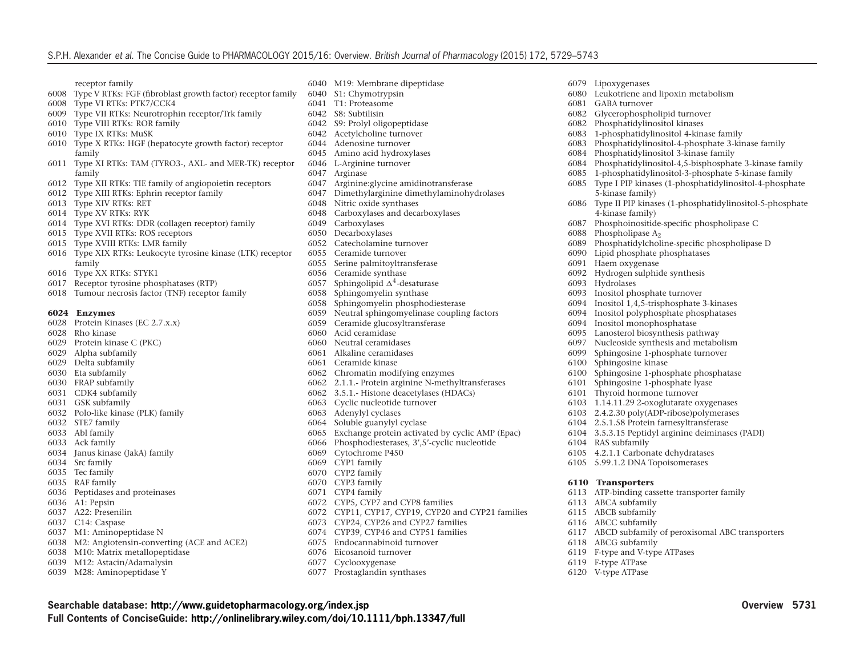receptor family

- 6008 Type V RTKs: FGF (fibroblast growth factor) receptor family
- 6008 Type VI RTKs: PTK7/CCK4
- 6009 Type VII RTKs: Neurotrophin receptor/Trk family
- 6010 Type VIII RTKs: ROR family
- 6010 Type IX RTKs: MuSK
- 6010 Type X RTKs: HGF (hepatocyte growth factor) receptor family
- 6011 Type XI RTKs: TAM (TYRO3-, AXL- and MER-TK) receptor family
- 6012 Type XII RTKs: TIE family of angiopoietin receptors
- 6012 Type XIII RTKs: Ephrin receptor family
- 6013 Type XIV RTKs: RET
- 6014 Type XV RTKs: RYK
- 6014 Type XVI RTKs: DDR (collagen receptor) family
- 6015 Type XVII RTKs: ROS receptors
- 6015 Type XVIII RTKs: LMR family
- 6016 Type XIX RTKs: Leukocyte tyrosine kinase (LTK) receptor family
- 6016 Type XX RTKs: STYK1
- 6017 Receptor tyrosine phosphatases (RTP)
- 6018 Tumour necrosis factor (TNF) receptor family

#### **6024 Enzymes**

6028 Protein Kinases (EC 2.7.x.x) 6028 Rho kinase 6029 Protein kinase C (PKC) 6029 Alpha subfamily 6029 Delta subfamily 6030 Eta subfamily 6030 FRAP subfamily 6031 CDK4 subfamily 6031 GSK subfamily 6032 Polo-like kinase (PLK) family 6032 STE7 family 6033 Abl family 6033 Ack family 6034 Janus kinase (JakA) family 6034 Src family 6035 Tec family 6035 RAF family 6036 Peptidases and proteinases 6036 A1: Pepsin 6037 A22: Presenilin 6037 C14: Caspase 6037 M1: Aminopeptidase N 6038 M2: Angiotensin-converting (ACE and ACE2) 6038 M10: Matrix metallopeptidase 6039 M12: Astacin/Adamalysin 6039 M28: Aminopeptidase Y

- 6040 M19: Membrane dipeptidase
- 6040 S1: Chymotrypsin
- 6041 T1: Proteasome
- 6042 S8: Subtilisin
- 6042 S9: Prolyl oligopeptidase
- 6042 Acetylcholine turnover
- 6044 Adenosine turnover
- 6045 Amino acid hydroxylases
- 6046 L-Arginine turnover
- 6047 Arginase
- 6047 Arginine:glycine amidinotransferase
- 6047 Dimethylarginine dimethylaminohydrolases
- 6048 Nitric oxide synthases
- 6048 Carboxylases and decarboxylases
- 6049 Carboxylases
- 6050 Decarboxylases
- 6052 Catecholamine turnover
- 6055 Ceramide turnover
- 6055 Serine palmitoyltransferase
- 6056 Ceramide synthase
- 6057 Sphingolipid  $\Delta^4$ -desaturase
- 6058 Sphingomyelin synthase
- 6058 Sphingomyelin phosphodiesterase
- 6059 Neutral sphingomyelinase coupling factors
- Ceramide glucosyltransferase
- 6060 Acid ceramidase
- 6060 Neutral ceramidases
- 6061 Alkaline ceramidases
- 6061 Ceramide kinase
- 6062 Chromatin modifying enzymes
- 6062 2.1.1.- Protein arginine N-methyltransferases
- 6062 3.5.1.- Histone deacetylases (HDACs)
- 6063 Cyclic nucleotide turnover
- 6063 Adenylyl cyclases
- 6064 Soluble guanylyl cyclase
- 6065 Exchange protein activated by cyclic AMP (Epac)
- 6066 Phosphodiesterases, 3',5'-cyclic nucleotide
- 6069 Cytochrome P450
- 6069 CYP1 family
- 6070 CYP2 family
- 6070 CYP3 family
- 6071 CYP4 family
- 6072 CYP5, CYP7 and CYP8 families
- 6072 CYP11, CYP17, CYP19, CYP20 and CYP21 families

**Searchable database: <http://www.guidetopharmacology.org/index.jsp> Overview 5731**

- 6073 CYP24, CYP26 and CYP27 families
- 6074 CYP39, CYP46 and CYP51 families
- 6075 Endocannabinoid turnover
- 6076 Eicosanoid turnover
- 6077 Cyclooxygenase

**Full Contents of ConciseGuide: <http://onlinelibrary.wiley.com/doi/10.1111/bph.13347/full>**

6077 Prostaglandin synthases

- 6079 Lipoxygenases
- 6080 Leukotriene and lipoxin metabolism
- 6081 GABA turnover
- 6082 Glycerophospholipid turnover
- 6082 Phosphatidylinositol kinases
- 1-phosphatidylinositol 4-kinase family
- 6083 Phosphatidylinositol-4-phosphate 3-kinase family
- 6084 Phosphatidylinositol 3-kinase family
- 6084 Phosphatidylinositol-4,5-bisphosphate 3-kinase family
- 6085 1-phosphatidylinositol-3-phosphate 5-kinase family
- Type I PIP kinases (1-phosphatidylinositol-4-phosphate 5-kinase family)
- 6086 Type II PIP kinases (1-phosphatidylinositol-5-phosphate 4-kinase family)
- 6087 Phosphoinositide-specific phospholipase C
- 6088 Phospholipase  $A_2$ <br>6089 Phosphatidylcholi
- Phosphatidylcholine-specific phospholipase D
- 6090 Lipid phosphate phosphatases
- 6091 Haem oxygenase
- 6092 Hydrogen sulphide synthesis
- 6093 Hydrolases
- 6093 Inositol phosphate turnover
- 
- 6094 Inositol 1,4,5-trisphosphate 3-kinases 6094 Inositol polyphosphate phosphatases
- 
- 6094 Inositol monophosphatase Lanosterol biosynthesis pathway
- 6097 Nucleoside synthesis and metabolism
- 6099 Sphingosine 1-phosphate turnover

6101 Thyroid hormone turnover

6105 4.2.1.1 Carbonate dehydratases 6105 5.99.1.2 DNA Topoisomerases

6100 Sphingosine kinase

6104 RAS subfamily

**6110 Transporters**

6113 ABCA subfamily 6115 ABCB subfamily 6116 ABCC subfamily

6118 ABCG subfamily 6119 F-type and V-type ATPases

6119 F-type ATPase 6120 V-type ATPase

6100 Sphingosine 1-phosphate phosphatase 6101 Sphingosine 1-phosphate lyase

6103 1.14.11.29 2-oxoglutarate oxygenases 6103 2.4.2.30 poly(ADP-ribose)polymerases 6104 2.5.1.58 Protein farnesyltransferase 6104 3.5.3.15 Peptidyl arginine deiminases (PADI)

6113 ATP-binding cassette transporter family

6117 ABCD subfamily of peroxisomal ABC transporters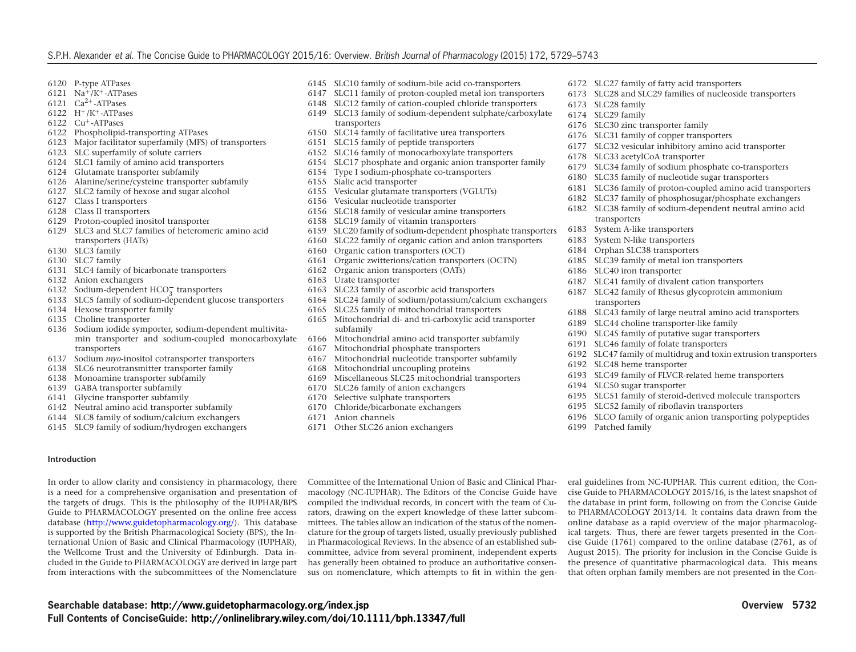- 6120 P-type ATPases
- $6121$  Na<sup>+</sup>/K<sup>+</sup>-ATPases
- 6121  $Ca^{2+}$ -ATPases
- $6122$  H<sup>+</sup>/K<sup>+</sup>-ATPases
- $6122$   $Cu+$ -ATPases
- 6122 Phospholipid-transporting ATPases
- 6123 Major facilitator superfamily (MFS) of transporters
- 6123 SLC superfamily of solute carriers
- 6124 SLC1 family of amino acid transporters
- 6124 Glutamate transporter subfamily
- 6126 Alanine/serine/cysteine transporter subfamily
- 6127 SLC2 family of hexose and sugar alcohol
- 6127 Class I transporters
- 6128 Class II transporters
- 6129 Proton-coupled inositol transporter
- 6129 SLC3 and SLC7 families of heteromeric amino acid transporters (HATs)
- 6130 SLC3 family
- 6130 SLC7 family

**Introduction**

- 6131 SLC4 family of bicarbonate transporters
- 6132 Anion exchangers
- 6132 Sodium-dependent  $HCO_{3}^-$  transporters
- 3 6133 SLC5 family of sodium-dependent glucose transporters
- 6134 Hexose transporter family
- 6135 Choline transporter
- 6136 Sodium iodide symporter, sodium-dependent multivitamin transporter and sodium-coupled monocarboxylate transporters

In order to allow clarity and consistency in pharmacology, there is a need for a comprehensive organisation and presentation of the targets of drugs. This is the philosophy of the IUPHAR/BPS Guide to PHARMACOLOGY presented on the online free access database [\(http://www.guidetopharmacology.org/\)](http://www.guidetopharmacology.org/). This database is supported by the British Pharmacological Society (BPS), the International Union of Basic and Clinical Pharmacology (IUPHAR), the Wellcome Trust and the University of Edinburgh. Data included in the Guide to PHARMACOLOGY are derived in large part from interactions with the subcommittees of the Nomenclature

**Full Contents of ConciseGuide: <http://onlinelibrary.wiley.com/doi/10.1111/bph.13347/full>**

- 6137 Sodium *myo*-inositol cotransporter transporters
- 6138 SLC6 neurotransmitter transporter family
- 6138 Monoamine transporter subfamily
- 6139 GABA transporter subfamily
- 6141 Glycine transporter subfamily
- 6142 Neutral amino acid transporter subfamily
- SLC8 family of sodium/calcium exchangers
- 6145 SLC9 family of sodium/hydrogen exchangers
- 6145 SLC10 family of sodium-bile acid co-transporters
- 6147 SLC11 family of proton-coupled metal ion transporters
- SLC12 family of cation-coupled chloride transporters
- 6149 SLC13 family of sodium-dependent sulphate/carboxylate transporters
- 6150 SLC14 family of facilitative urea transporters
- 6151 SLC15 family of peptide transporters
- 6152 SLC16 family of monocarboxylate transporters
- 6154 SLC17 phosphate and organic anion transporter family
- 6154 Type I sodium-phosphate co-transporters
- 6155 Sialic acid transporter
- 6155 Vesicular glutamate transporters (VGLUTs)
- 6156 Vesicular nucleotide transporter
- 6156 SLC18 family of vesicular amine transporters<br>6158 SLC19 family of vitamin transporters
- 6158 SLC19 family of vitamin transporters<br>6159 SLC20 family of sodium-dependent pl
- 6159 SLC20 family of sodium-dependent phosphate transporters 6160 SLC22 family of organic cation and anion transporters
- 6160 SLC22 family of organic cation and anion transporters 6160 Organic cation transporters (OCT)
- Organic cation transporters (OCT)
- 6161 Organic zwitterions/cation transporters (OCTN)
- 6162 Organic anion transporters (OATs)
- 6163 Urate transporter
- 6163 SLC23 family of ascorbic acid transporters
- 6164 SLC24 family of sodium/potassium/calcium exchangers
- 6165 SLC25 family of mitochondrial transporters
- 6165 Mitochondrial di- and tri-carboxylic acid transporter subfamily

Committee of the International Union of Basic and Clinical Pharmacology (NC-IUPHAR). The Editors of the Concise Guide have compiled the individual records, in concert with the team of Curators, drawing on the expert knowledge of these latter subcommittees. The tables allow an indication of the status of the nomenclature for the group of targets listed, usually previously published in Pharmacological Reviews. In the absence of an established subcommittee, advice from several prominent, independent experts has generally been obtained to produce an authoritative consensus on nomenclature, which attempts to fit in within the gen-

**Searchable database: <http://www.guidetopharmacology.org/index.jsp> Overview 5732**

- 6166 Mitochondrial amino acid transporter subfamily<br>6167 Mitochondrial phosphate transporters
- Mitochondrial phosphate transporters
- 6167 Mitochondrial nucleotide transporter subfamily
- 6168 Mitochondrial uncoupling proteins
- 6169 Miscellaneous SLC25 mitochondrial transporters
- 6170 SLC26 family of anion exchangers
- 6170 Selective sulphate transporters<br>6170 Chloride/bicarbonate exchange
- 6170 Chloride/bicarbonate exchangers
- Anion channels
- 6171 Other SLC26 anion exchangers
- 6172 SLC27 family of fatty acid transporters
- 6173 SLC28 and SLC29 families of nucleoside transporters
- 6173 SLC28 family
- 6174 SLC29 family
- 6176 SLC30 zinc transporter family
- 6176 SLC31 family of copper transporters
- 6177 SLC32 vesicular inhibitory amino acid transporter
- 6178 SLC33 acetylCoA transporter
- 6179 SLC34 family of sodium phosphate co-transporters
- 6180 SLC35 family of nucleotide sugar transporters
- 6181 SLC36 family of proton-coupled amino acid transporters
- 6182 SLC37 family of phosphosugar/phosphate exchangers
- 6182 SLC38 family of sodium-dependent neutral amino acid transporters
- 6183 System A-like transporters
- 6183 System N-like transporters
- 6184 Orphan SLC38 transporters
- 6185 SLC39 family of metal ion transporters
- 6186 SLC40 iron transporter
- 6187 SLC41 family of divalent cation transporters
- 6187 SLC42 family of Rhesus glycoprotein ammonium transporters
- 6188 SLC43 family of large neutral amino acid transporters
- 6189 SLC44 choline transporter-like family
- 6190 SLC45 family of putative sugar transporters
- 6191 SLC46 family of folate transporters
- 6192 SLC47 family of multidrug and toxin extrusion transporters
- 6192 SLC48 heme transporter
- 6193 SLC49 family of FLVCR-related heme transporters
- 6194 SLC50 sugar transporter
- 6195 SLC51 family of steroid-derived molecule transporters
- 6195 SLC52 family of riboflavin transporters
- 6196 SLCO family of organic anion transporting polypeptides

eral guidelines from NC-IUPHAR. This current edition, the Concise Guide to PHARMACOLOGY 2015/16, is the latest snapshot of the database in print form, following on from the Concise Guide to PHARMACOLOGY 2013/14. It contains data drawn from the online database as a rapid overview of the major pharmacological targets. Thus, there are fewer targets presented in the Concise Guide (1761) compared to the online database (2761, as of August 2015). The priority for inclusion in the Concise Guide is the presence of quantitative pharmacological data. This means that often orphan family members are not presented in the Con-

6199 Patched family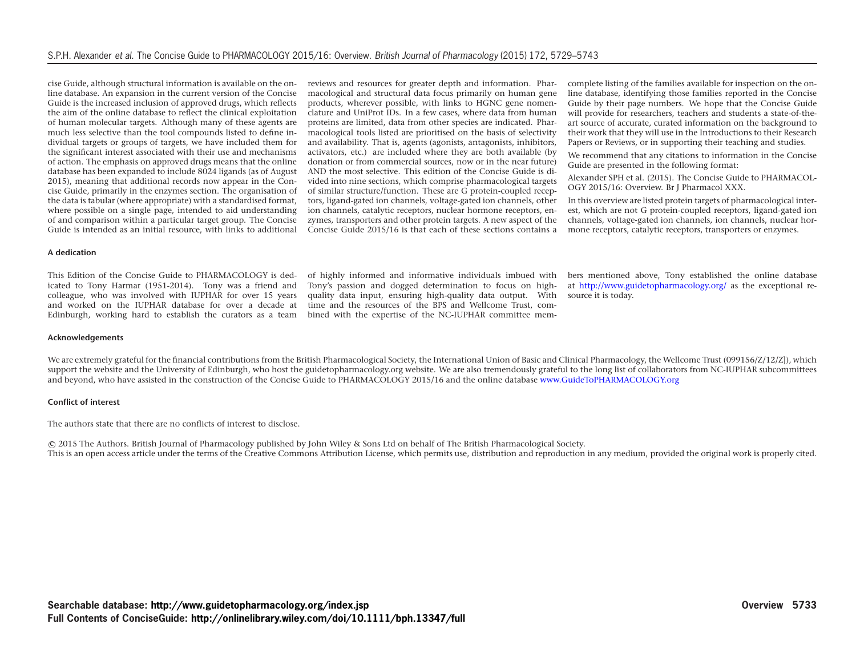cise Guide, although structural information is available on the online database. An expansion in the current version of the Concise Guide is the increased inclusion of approved drugs, which reflects the aim of the online database to reflect the clinical exploitation of human molecular targets. Although many of these agents are much less selective than the tool compounds listed to define individual targets or groups of targets, we have included them for the significant interest associated with their use and mechanisms of action. The emphasis on approved drugs means that the online database has been expanded to include 8024 ligands (as of August 2015), meaning that additional records now appear in the Concise Guide, primarily in the enzymes section. The organisation of the data is tabular (where appropriate) with a standardised format, where possible on a single page, intended to aid understanding of and comparison within a particular target group. The Concise Guide is intended as an initial resource, with links to additional

reviews and resources for greater depth and information. Pharmacological and structural data focus primarily on human gene products, wherever possible, with links to HGNC gene nomenclature and UniProt IDs. In a few cases, where data from human proteins are limited, data from other species are indicated. Pharmacological tools listed are prioritised on the basis of selectivity and availability. That is, agents (agonists, antagonists, inhibitors, activators, etc.) are included where they are both available (by donation or from commercial sources, now or in the near future) AND the most selective. This edition of the Concise Guide is divided into nine sections, which comprise pharmacological targets of similar structure/function. These are G protein-coupled receptors, ligand-gated ion channels, voltage-gated ion channels, other ion channels, catalytic receptors, nuclear hormone receptors, enzymes, transporters and other protein targets. A new aspect of the Concise Guide 2015/16 is that each of these sections contains a

complete listing of the families available for inspection on the online database, identifying those families reported in the Concise Guide by their page numbers. We hope that the Concise Guide will provide for researchers, teachers and students a state-of-theart source of accurate, curated information on the background to their work that they will use in the Introductions to their Research Papers or Reviews, or in supporting their teaching and studies.

We recommend that any citations to information in the Concise Guide are presented in the following format:

Alexander SPH et al. (2015). The Concise Guide to PHARMACOL-OGY 2015/16: Overview. Br J Pharmacol XXX.

In this overview are listed protein targets of pharmacological interest, which are not G protein-coupled receptors, ligand-gated ion channels, voltage-gated ion channels, ion channels, nuclear hormone receptors, catalytic receptors, transporters or enzymes.

### **A dedication**

This Edition of the Concise Guide to PHARMACOLOGY is dedicated to Tony Harmar (1951-2014). Tony was a friend and colleague, who was involved with IUPHAR for over 15 years and worked on the IUPHAR database for over a decade at Edinburgh, working hard to establish the curators as a team

of highly informed and informative individuals imbued with Tony's passion and dogged determination to focus on highquality data input, ensuring high-quality data output. With time and the resources of the BPS and Wellcome Trust, combined with the expertise of the NC-IUPHAR committee members mentioned above, Tony established the online database at <http://www.guidetopharmacology.org/> as the exceptional resource it is today.

### **Acknowledgements**

We are extremely grateful for the financial contributions from the British Pharmacological Society, the International Union of Basic and Clinical Pharmacology, the Wellcome Trust (099156/Z/12/Z]), which support the website and the University of Edinburgh, who host the guidetopharmacology.org website. We are also tremendously grateful to the long list of collaborators from NC-IUPHAR subcommittees and beyond, who have assisted in the construction of the Concise Guide to PHARMACOLOGY 2015/16 and the online database [www.GuideToPHARMACOLOGY.org](http://www.GuideToPHARMACOLOGY.org)

#### **Conflict of interest**

The authors state that there are no conflicts of interest to disclose.

 c 2015 The Authors. British Journal of Pharmacology published by John Wiley & Sons Ltd on behalf of The British Pharmacological Society. This is an open access article under the terms of the Creative Commons Attribution License, which permits use, distribution and reproduction in any medium, provided the original work is properly cited.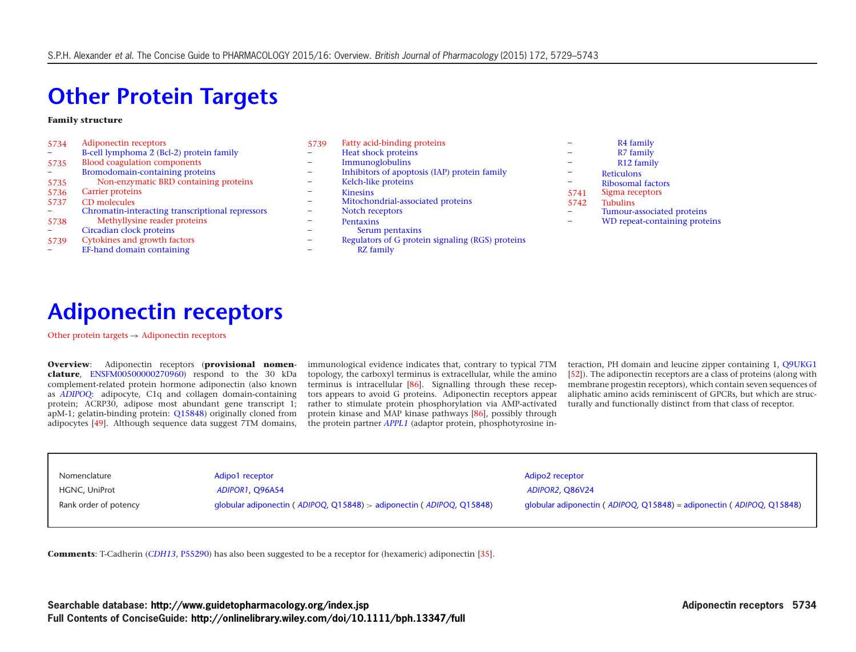# <span id="page-5-2"></span>**[Other Protein Targets](http://www.guidetopharmacology.org/GRAC/FamilyDisplayForward?familyId=864)**

### **Family structure**

| 5734 | <b>Adiponectin receptors</b>                     | 5739 | Fatty acid-binding proteins                      |
|------|--------------------------------------------------|------|--------------------------------------------------|
|      | B-cell lymphoma 2 (Bcl-2) protein family         |      | <b>Heat shock proteins</b>                       |
| 5735 | <b>Blood coagulation components</b>              |      | Immunoglobulins                                  |
|      | Bromodomain-containing proteins                  |      | Inhibitors of apoptosis (IAP) protein family     |
| 5735 | Non-enzymatic BRD containing proteins            |      | Kelch-like proteins                              |
| 5736 | Carrier proteins                                 |      | <b>Kinesins</b>                                  |
| 5737 | CD molecules                                     |      | Mitochondrial-associated proteins                |
|      | Chromatin-interacting transcriptional repressors |      | Notch receptors                                  |
| 5738 | Methyllysine reader proteins                     |      | Pentaxins                                        |
|      | Circadian clock proteins                         |      | Serum pentaxins                                  |
| 5739 | Cytokines and growth factors                     |      | Regulators of G protein signaling (RGS) proteins |
|      | EF-hand domain containing                        |      | <b>RZ</b> family                                 |
|      |                                                  |      |                                                  |

- [R4 family](http://www.guidetopharmacology.org/GRAC/FamilyDisplayForward?familyId=893)
- [R7 family](http://www.guidetopharmacology.org/GRAC/FamilyDisplayForward?familyId=894)
- [R12 family](http://www.guidetopharmacology.org/GRAC/FamilyDisplayForward?familyId=895)
	- **[Reticulons](http://www.guidetopharmacology.org/GRAC/FamilyDisplayForward?familyId=905)**
- [Ribosomal factors](http://www.guidetopharmacology.org/GRAC/FamilyDisplayForward?familyId=875)
- [5741](#page-12-0) [Sigma receptors](#page-12-1)<br>5742 Tubulins
- **Tubulins**
- [Tumour-associated proteins](http://www.guidetopharmacology.org/GRAC/FamilyDisplayForward?familyId=904)
- [WD repeat-containing proteins](http://www.guidetopharmacology.org/GRAC/FamilyDisplayForward?familyId=903)

### <span id="page-5-1"></span><span id="page-5-0"></span>**[Adiponectin receptors](http://www.guidetopharmacology.org/GRAC/FamilyDisplayForward?familyId=106)**

[Other protein targets](#page-5-2)  $\rightarrow$  [Adiponectin receptors](#page-5-1)

**Overview**: Adiponectin receptors (**provisional nomenclature**, [ENSFM00500000270960\)](http://www.ensembl.org/Homo_sapiens/Gene/Family/Genes?family=ENSFM00500000270960) respond to the 30 kDa complement-related protein hormone adiponectin (also known as *[ADIPOQ](http://www.genenames.org/data/hgnc_data.php?hgnc_id=13633)*: adipocyte, C1q and collagen domain-containing protein; ACRP30, adipose most abundant gene transcript 1; apM-1; gelatin-binding protein: [Q15848\)](http://www.uniprot.org/uniprot/Q15848) originally cloned from adipocytes [\[49\]](http://www.ncbi.nlm.nih.gov/pubmed/8619847?dopt=AbstractPlus). Although sequence data suggest 7TM domains, immunological evidence indicates that, contrary to typical 7TM topology, the carboxyl terminus is extracellular, while the amino terminus is intracellular [\[86\]](http://www.ncbi.nlm.nih.gov/pubmed/12802337?dopt=AbstractPlus). Signalling through these receptors appears to avoid G proteins. Adiponectin receptors appear rather to stimulate protein phosphorylation via AMP-activated protein kinase and MAP kinase pathways [\[86\]](http://www.ncbi.nlm.nih.gov/pubmed/12802337?dopt=AbstractPlus), possibly through the protein partner *[APPL1](http://www.genenames.org/data/hgnc_data.php?hgnc_id=24035)* (adaptor protein, phosphotyrosine interaction, PH domain and leucine zipper containing 1, [Q9UKG1](http://www.uniprot.org/uniprot/Q9UKG1) [\[52\]](http://www.ncbi.nlm.nih.gov/pubmed/16622416?dopt=AbstractPlus)). The adiponectin receptors are a class of proteins (along with membrane progestin receptors), which contain seven sequences of aliphatic amino acids reminiscent of GPCRs, but which are structurally and functionally distinct from that class of receptor.

| Nomenclature          | Adipo1 receptor                                                      | Adipo2 receptor                                                      |
|-----------------------|----------------------------------------------------------------------|----------------------------------------------------------------------|
| HGNC, UniProt         | ADIPOR1, Q96A54                                                      | ADIPOR2, Q86V24                                                      |
| Rank order of potency | qlobular adiponectin (ADIPOQ, Q15848) > adiponectin (ADIPOQ, Q15848) | globular adiponectin (ADIPOQ, Q15848) = adiponectin (ADIPOQ, Q15848) |
|                       |                                                                      |                                                                      |

**Comments**: T-Cadherin (*[CDH13](http://www.genenames.org/data/hgnc_data.php?hgnc_id=1753)*, [P55290\)](http://www.uniprot.org/uniprot/P55290) has also been suggested to be a receptor for (hexameric) adiponectin [\[35\]](http://www.ncbi.nlm.nih.gov/pubmed/15210937?dopt=AbstractPlus).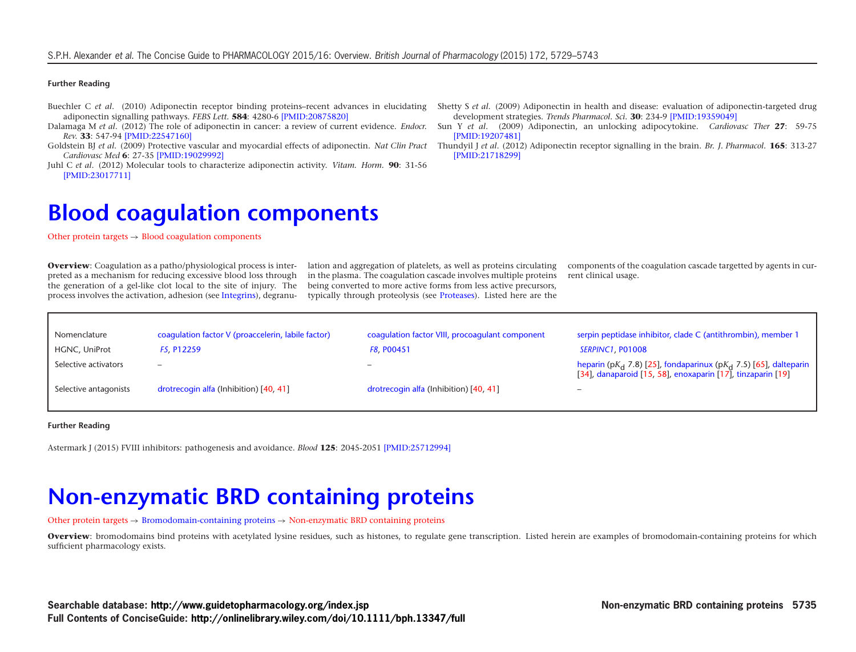### **Further Reading**

- Buechler C *et al*. (2010) Adiponectin receptor binding proteins–recent advances in elucidating adiponectin signalling pathways. *FEBS Lett.* **584**: 4280-6 [\[PMID:20875820\]](http://www.ncbi.nlm.nih.gov/pubmed/20875820?dopt=AbstractPlus)
- Dalamaga M *et al*. (2012) The role of adiponectin in cancer: a review of current evidence. *Endocr.* Sun Y *et al*. (2009) Adiponectin, an unlocking adipocytokine. *Cardiovasc Ther* **27**: 59-75 *Rev.* **33**: 547-94 [\[PMID:22547160\]](http://www.ncbi.nlm.nih.gov/pubmed/22547160?dopt=AbstractPlus)
- Goldstein BJ *et al*. (2009) Protective vascular and myocardial effects of adiponectin. *Nat Clin Pract Cardiovasc Med* **6**: 27-35 [\[PMID:19029992\]](http://www.ncbi.nlm.nih.gov/pubmed/19029992?dopt=AbstractPlus)
- Juhl C *et al*. (2012) Molecular tools to characterize adiponectin activity. *Vitam. Horm.* **90**: 31-56 [\[PMID:23017711\]](http://www.ncbi.nlm.nih.gov/pubmed/23017711?dopt=AbstractPlus)
- Shetty S *et al*. (2009) Adiponectin in health and disease: evaluation of adiponectin-targeted drug development strategies. *Trends Pharmacol. Sci.* **30**: 234-9 [\[PMID:19359049\]](http://www.ncbi.nlm.nih.gov/pubmed/19359049?dopt=AbstractPlus)
- [\[PMID:19207481\]](http://www.ncbi.nlm.nih.gov/pubmed/19207481?dopt=AbstractPlus)
- Thundyil J *et al*. (2012) Adiponectin receptor signalling in the brain. *Br. J. Pharmacol.* **165**: 313-27 [\[PMID:21718299\]](http://www.ncbi.nlm.nih.gov/pubmed/21718299?dopt=AbstractPlus)

### <span id="page-6-1"></span><span id="page-6-0"></span>**[Blood coagulation components](http://www.guidetopharmacology.org/GRAC/FamilyDisplayForward?familyId=853)**

[Other protein targets](#page-5-2)  $\rightarrow$  [Blood coagulation components](#page-6-1)

**Overview**: Coagulation as a patho/physiological process is interpreted as a mechanism for reducing excessive blood loss through the generation of a gel-like clot local to the site of injury. The process involves the activation, adhesion (see [Integrins\)](http://www.guidetopharmacology.org/GRAC/FamilyDisplayForward?familyId=760), degranu-

lation and aggregation of platelets, as well as proteins circulating in the plasma. The coagulation cascade involves multiple proteins being converted to more active forms from less active precursors, typically through proteolysis (see [Proteases\)](http://www.guidetopharmacology.org/GRAC/FamilyDisplayForward?familyId=759&familyType=ENZYME). Listed here are the

components of the coagulation cascade targetted by agents in current clinical usage.

| Nomenclature          | coagulation factor V (proaccelerin, labile factor) | coaquiation factor VIII, procoaquiant component | serpin peptidase inhibitor, clade C (antithrombin), member 1                                                                           |
|-----------------------|----------------------------------------------------|-------------------------------------------------|----------------------------------------------------------------------------------------------------------------------------------------|
| HGNC, UniProt         | F5, P12259                                         | F8, P00451                                      | SERPINC1, P01008                                                                                                                       |
| Selective activators  | $\overline{\phantom{0}}$                           |                                                 | heparin (p $K_d$ 7.8) [25], fondaparinux (p $K_d$ 7.5) [65], dalteparin<br>[34], danaparoid [15, 58], enoxaparin [17], tinzaparin [19] |
| Selective antagonists | drotrecogin alfa (Inhibition) [40, 41]             | drotrecogin alfa (Inhibition) [40, 41]          | $\overline{\phantom{0}}$                                                                                                               |

### **Further Reading**

Astermark J (2015) FVIII inhibitors: pathogenesis and avoidance. *Blood* **125**: 2045-2051 [\[PMID:25712994\]](http://www.ncbi.nlm.nih.gov/entrez/query.fcgi?cmd=Retrieve&db=PubMed&list_uids=PM:25712994)

### <span id="page-6-3"></span><span id="page-6-2"></span>**[Non-enzymatic BRD containing proteins](http://www.guidetopharmacology.org/GRAC/FamilyDisplayForward?familyId=867)**

[Other protein targets](#page-5-2)  $\rightarrow$  [Bromodomain-containing proteins](http://www.guidetopharmacology.org/GRAC/FamilyDisplayForward?familyId=866)  $\rightarrow$  [Non-enzymatic BRD containing proteins](#page-6-3)

**Overview**: bromodomains bind proteins with acetylated lysine residues, such as histones, to regulate gene transcription. Listed herein are examples of bromodomain-containing proteins for which sufficient pharmacology exists.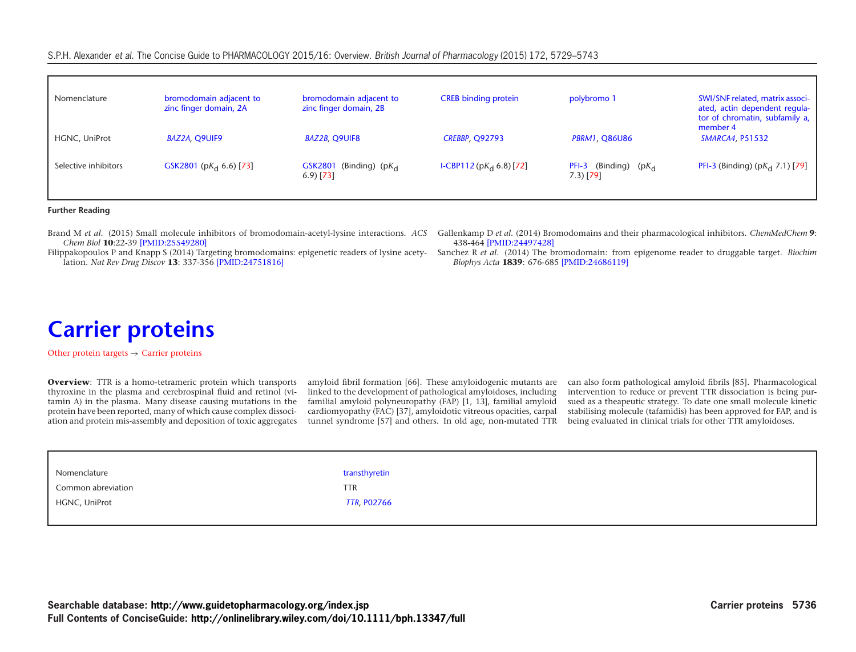| S.P.H. Alexander et al. The Concise Guide to PHARMACOLOGY 2015/16: Overview. British Journal of Pharmacology (2015) 172, 5729-5743 |  |
|------------------------------------------------------------------------------------------------------------------------------------|--|
|------------------------------------------------------------------------------------------------------------------------------------|--|

| Nomenclature         | bromodomain adjacent to<br>zinc finger domain, 2A | bromodomain adjacent to<br>zinc finger domain, 2B | <b>CREB</b> binding protein | polybromo 1                                       | SWI/SNF related, matrix associ-<br>ated, actin dependent regula-<br>tor of chromatin, subfamily a,<br>member 4 |
|----------------------|---------------------------------------------------|---------------------------------------------------|-----------------------------|---------------------------------------------------|----------------------------------------------------------------------------------------------------------------|
| HGNC, UniProt        | <b>BAZ2A, Q9UIF9</b>                              | <b>BAZ2B, Q9UIF8</b>                              | <b>CREBBP, Q92793</b>       | <b>PBRM1, Q86U86</b>                              | <b>SMARCA4, P51532</b>                                                                                         |
| Selective inhibitors | GSK2801 (p $K_d$ 6.6) [73]                        | GSK2801 (Binding) ( $pK_d$<br>$(6.9)$ [73]        | I-CBP112 (p $K_d$ 6.8) [72] | <b>PFI-3</b> (Binding) ( $pK_d$ )<br>$7.3$ ) [79] | <b>PFI-3</b> (Binding) (p $K_{\rm d}$ 7.1) [79]                                                                |

### **Further Reading**

- Brand M *et al.* (2015) Small molecule inhibitors of bromodomain-acetyl-lysine interactions. *ACS* Gallenkamp D *et al.* (2014) Bromodomains and their pharmacological inhibitors. *ChemMedChem* **9**: *Chem Biol* **10**:22-39 [\[PMID:25549280\]](http://www.ncbi.nlm.nih.gov/entrez/query.fcgi?cmd=Retrieve&db=PubMed&list_uids=PM:25549280)
- lation. *Nat Rev Drug Discov* **13**: 337-356 [\[PMID:24751816\]](http://www.ncbi.nlm.nih.gov/entrez/query.fcgi?cmd=Retrieve&db=PubMed&list_uids=PM:24751816)
- 438-464 [\[PMID:24497428\]](http://www.ncbi.nlm.nih.gov/entrez/query.fcgi?cmd=Retrieve&db=PubMed&list_uids=PM:24497428)
- Filippakopoulos P and Knapp S (2014) Targeting bromodomains: epigenetic readers of lysine acety- Sanchez R *et al.* (2014) The bromodomain: from epigenome reader to druggable target. *Biochim Biophys Acta* **1839**: 676-685 [\[PMID:24686119\]](http://www.ncbi.nlm.nih.gov/entrez/query.fcgi?cmd=Retrieve&db=PubMed&list_uids=PM:24686119)

### <span id="page-7-1"></span><span id="page-7-0"></span>**[Carrier proteins](http://www.guidetopharmacology.org/GRAC/FamilyDisplayForward?familyId=911)**

[Other protein targets](#page-5-2)  $\rightarrow$  [Carrier proteins](#page-7-1)

**Overview**: TTR is a homo-tetrameric protein which transports thyroxine in the plasma and cerebrospinal fluid and retinol (vitamin A) in the plasma. Many disease causing mutations in the protein have been reported, many of which cause complex dissociation and protein mis-assembly and deposition of toxic aggregates

amyloid fibril formation [66]. These amyloidogenic mutants are linked to the development of pathological amyloidoses, including familial amyloid polyneuropathy (FAP) [1, 13], familial amyloid cardiomyopathy (FAC) [37], amyloidotic vitreous opacities, carpal tunnel syndrome [57] and others. In old age, non-mutated TTR can also form pathological amyloid fibrils [85]. Pharmacological intervention to reduce or prevent TTR dissociation is being pursued as a theapeutic strategy. To date one small molecule kinetic stabilising molecule (tafamidis) has been approved for FAP, and is being evaluated in clinical trials for other TTR amyloidoses.

| Nomenclature       | transthyretin      |  |
|--------------------|--------------------|--|
| Common abreviation | TTR                |  |
| HGNC, UniProt      | <b>TTR, PO2766</b> |  |
|                    |                    |  |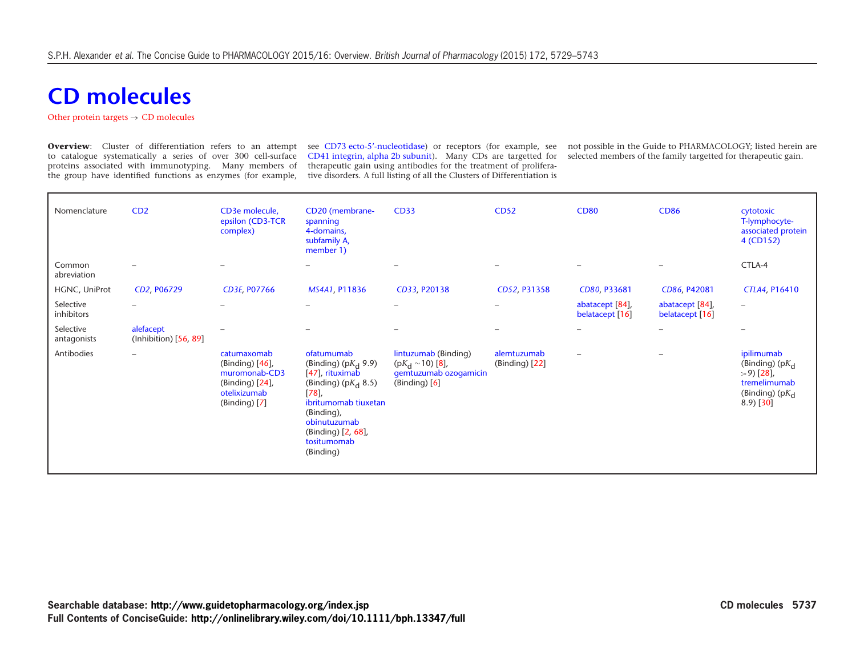# <span id="page-8-1"></span><span id="page-8-0"></span>**[CD molecules](http://www.guidetopharmacology.org/GRAC/FamilyDisplayForward?familyId=852)**

[Other protein targets](#page-5-2)  $\rightarrow$  [CD molecules](#page-8-1)

**Overview**: Cluster of differentiation refers to an attempt see [CD73 ecto-5'-nucleotidase\)](http://www.guidetopharmacology.org/GRAC/FamilyDisplayForward?familyId=248#1232) or receptors (for example, see not possible in the Guide to PHARMACOLOGY; listed herein are to catalogue systematically a series of over 300 cell-surface proteins associated with immunotyping. Many members of the group have identified functions as enzymes (for example,

[CD41 integrin, alpha 2b subunit\)](http://www.guidetopharmacology.org/GRAC/FamilyDisplayForward?familyId=760#2441). Many CDs are targetted for therapeutic gain using antibodies for the treatment of proliferative disorders. A full listing of all the Clusters of Differentiation is

selected members of the family targetted for therapeutic gain.

| Nomenclature             | CD <sub>2</sub>                    | CD3e molecule,<br>epsilon (CD3-TCR<br>complex)                                                             | CD20 (membrane-<br>spanning<br>4-domains,<br>subfamily A,<br>member 1)                                                                                                                             | <b>CD33</b>                                                                             | <b>CD52</b>                     | <b>CD80</b>                        | <b>CD86</b>                        | cytotoxic<br>T-lymphocyte-<br>associated protein<br>4 (CD152)                                      |
|--------------------------|------------------------------------|------------------------------------------------------------------------------------------------------------|----------------------------------------------------------------------------------------------------------------------------------------------------------------------------------------------------|-----------------------------------------------------------------------------------------|---------------------------------|------------------------------------|------------------------------------|----------------------------------------------------------------------------------------------------|
| Common<br>abreviation    |                                    |                                                                                                            | $\overline{\phantom{0}}$                                                                                                                                                                           |                                                                                         |                                 |                                    |                                    | CTLA-4                                                                                             |
| HGNC, UniProt            | CD2, P06729                        | <b>CD3E, P07766</b>                                                                                        | MS4A1, P11836                                                                                                                                                                                      | CD33, P20138                                                                            | CD52, P31358                    | CD80, P33681                       | CD86, P42081                       | <b>CTLA4, P16410</b>                                                                               |
| Selective<br>inhibitors  |                                    |                                                                                                            |                                                                                                                                                                                                    |                                                                                         | $\overline{\phantom{a}}$        | abatacept [84],<br>belatacept [16] | abatacept [84],<br>belatacept [16] | $\overline{\phantom{m}}$                                                                           |
| Selective<br>antagonists | alefacept<br>(Inhibition) [56, 89] |                                                                                                            |                                                                                                                                                                                                    |                                                                                         |                                 | $\overline{\phantom{a}}$           | $\overline{\phantom{0}}$           | $\overline{\phantom{0}}$                                                                           |
| Antibodies               | $\overline{\phantom{0}}$           | catumaxomab<br>(Binding) $[46]$ ,<br>muromonab-CD3<br>$(Binding)$ [24],<br>otelixizumab<br>$(Binding)$ [7] | ofatumumab<br>(Binding) ( $pK_d$ 9.9)<br>[47], rituximab<br>(Binding) ( $pKd$ 8.5)<br>[78]<br>ibritumomab tiuxetan<br>(Binding),<br>obinutuzumab<br>(Binding) [2, 68],<br>tositumomab<br>(Binding) | lintuzumab (Binding)<br>$(pK_d \sim 10)$ [8],<br>gemtuzumab ozogamicin<br>(Binding) [6] | alemtuzumab<br>$(Binding)$ [22] |                                    |                                    | ipilimumab<br>(Binding) ( $pK_d$<br>$>9$ [28],<br>tremelimumab<br>(Binding) ( $pK_d$<br>$8.9$ [30] |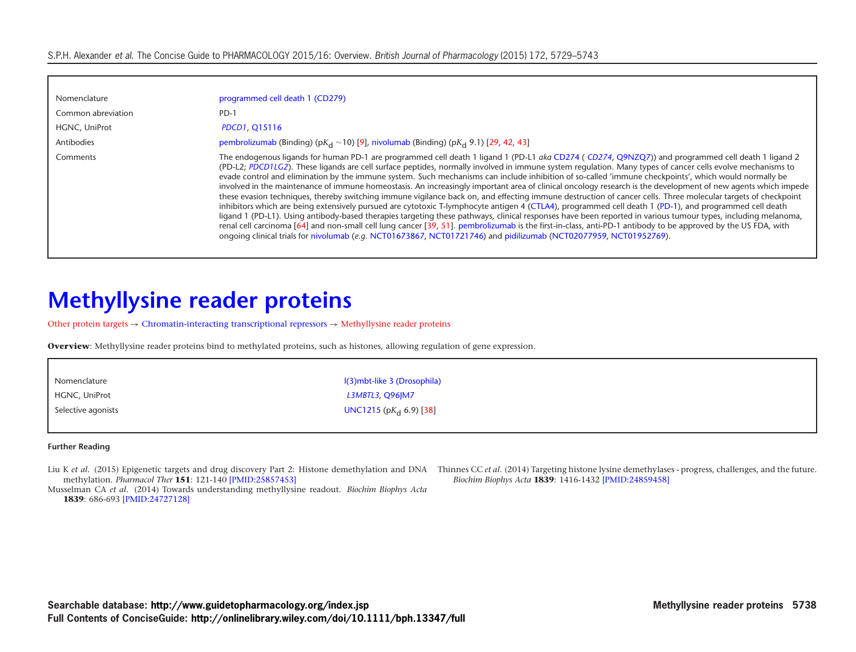| Nomenclature<br>Common abreviation | programmed cell death 1 (CD279)<br>PD-1                                                                                                                                                                                                                                                                                                                                                                                                                                                                                                                                                                                                                                                                                                                                                                                                                                                                                                                                                                                                                                                                                                                                                                                                                                                                                                                                                                                     |
|------------------------------------|-----------------------------------------------------------------------------------------------------------------------------------------------------------------------------------------------------------------------------------------------------------------------------------------------------------------------------------------------------------------------------------------------------------------------------------------------------------------------------------------------------------------------------------------------------------------------------------------------------------------------------------------------------------------------------------------------------------------------------------------------------------------------------------------------------------------------------------------------------------------------------------------------------------------------------------------------------------------------------------------------------------------------------------------------------------------------------------------------------------------------------------------------------------------------------------------------------------------------------------------------------------------------------------------------------------------------------------------------------------------------------------------------------------------------------|
| HGNC, UniProt                      | PDCD1, Q15116                                                                                                                                                                                                                                                                                                                                                                                                                                                                                                                                                                                                                                                                                                                                                                                                                                                                                                                                                                                                                                                                                                                                                                                                                                                                                                                                                                                                               |
| Antibodies                         | pembrolizumab (Binding) (p $K_{\rm d}$ ~10) [9], nivolumab (Binding) (p $K_{\rm d}$ 9.1) [29, 42, 43]                                                                                                                                                                                                                                                                                                                                                                                                                                                                                                                                                                                                                                                                                                                                                                                                                                                                                                                                                                                                                                                                                                                                                                                                                                                                                                                       |
| Comments                           | The endogenous ligands for human PD-1 are programmed cell death 1 ligand 1 (PD-L1 aka CD274 (CD274, Q9NZQ7)) and programmed cell death 1 ligand 2<br>(PD-L2; PDCD1LG2). These ligands are cell surface peptides, normally involved in immune system regulation. Many types of cancer cells evolve mechanisms to<br>evade control and elimination by the immune system. Such mechanisms can include inhibition of so-called 'immune checkpoints', which would normally be<br>involved in the maintenance of immune homeostasis. An increasingly important area of clinical oncology research is the development of new agents which impede<br>these evasion techniques, thereby switching immune vigilance back on, and effecting immune destruction of cancer cells. Three molecular targets of checkpoint<br>inhibitors which are being extensively pursued are cytotoxic T-lymphocyte antigen 4 (CTLA4), programmed cell death 1 (PD-1), and programmed cell death<br>ligand 1 (PD-L1). Using antibody-based therapies targeting these pathways, clinical responses have been reported in various tumour types, including melanoma,<br>renal cell carcinoma [64] and non-small cell lung cancer [39, 51]. pembrolizumab is the first-in-class, anti-PD-1 antibody to be approved by the US FDA, with<br>ongoing clinical trials for nivolumab (e.g. NCT01673867, NCT01721746) and pidilizumab (NCT02077959, NCT01952769). |

## <span id="page-9-1"></span><span id="page-9-0"></span>**[Methyllysine reader proteins](http://www.guidetopharmacology.org/GRAC/FamilyDisplayForward?familyId=902)**

[Other protein targets](#page-5-2)  $\rightarrow$  [Chromatin-interacting transcriptional repressors](http://www.guidetopharmacology.org/GRAC/FamilyDisplayForward?familyId=901)  $\rightarrow$  [Methyllysine reader proteins](#page-9-1)

**Overview**: Methyllysine reader proteins bind to methylated proteins, such as histones, allowing regulation of gene expression.

Nomenclature later and the later state of the later state of the later state in the [l\(3\)mbt-like 3 \(Drosophila\)](http://www.guidetopharmacology.org/GRAC/ObjectDisplayForward?objectId=2830) HGNC, UniProt *[L3MBTL3](http://www.genenames.org/data/hgnc_data.php?hgnc_id=23035)*, [Q96JM7](http://www.uniprot.org/uniprot/Q96JM7) Selective agonists  $UNC1215 (pK_d 6.9) [38]$  $UNC1215 (pK_d 6.9) [38]$  $UNC1215 (pK_d 6.9) [38]$ 

### **Further Reading**

Liu K *et al*. (2015) Epigenetic targets and drug discovery Part 2: Histone demethylation and DNA Thinnes CC *et al*. (2014) Targeting histone lysine demethylases - progress, challenges, and the future. methylation. *Pharmacol Ther* **151**: 121-140 [\[PMID:25857453\]](http://www.ncbi.nlm.nih.gov/entrez/query.fcgi?cmd=Retrieve&db=PubMed&list_uids=PM:25857453)

Musselman CA *et al*. (2014) Towards understanding methyllysine readout. *Biochim Biophys Acta* **1839**: 686-693 [\[PMID:24727128\]](http://www.ncbi.nlm.nih.gov/entrez/query.fcgi?cmd=Retrieve&db=PubMed&list_uids=PM:24727128)

*Biochim Biophys Acta* **1839**: 1416-1432 [\[PMID:24859458\]](http://www.ncbi.nlm.nih.gov/entrez/query.fcgi?cmd=Retrieve&db=PubMed&list_uids=PM:24859458)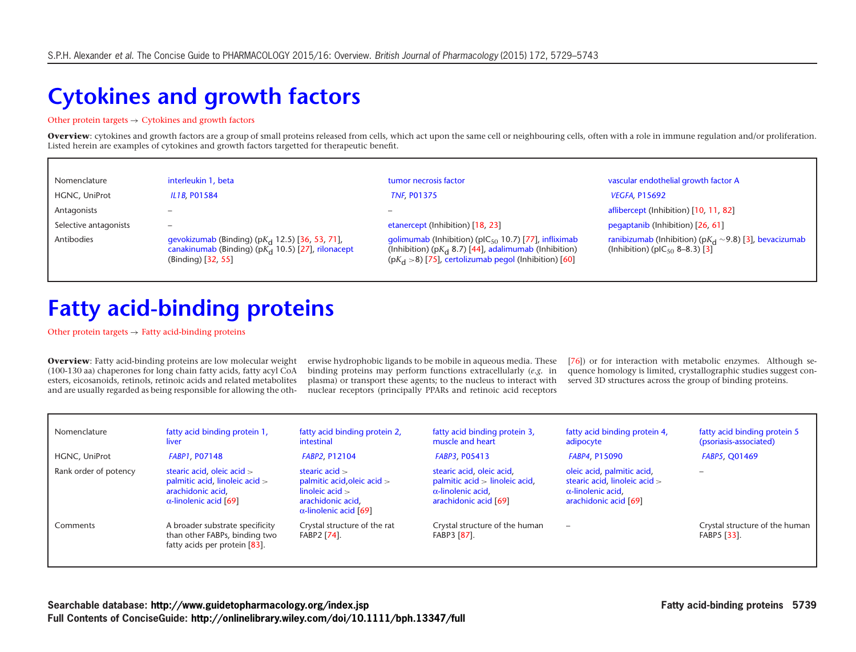# <span id="page-10-1"></span><span id="page-10-0"></span>**[Cytokines and growth factors](http://www.guidetopharmacology.org/GRAC/FamilyDisplayForward?familyId=855)**

### [Other protein targets](#page-5-2)  $\rightarrow$  [Cytokines and growth factors](#page-10-1)

**Overview**: cytokines and growth factors are a group of small proteins released from cells, which act upon the same cell or neighbouring cells, often with a role in immune regulation and/or proliferation. Listed herein are examples of cytokines and growth factors targetted for therapeutic benefit.

| Nomenclature          | interleukin 1, beta                                                                                                               | tumor necrosis factor                                                                                                                                                             | vascular endothelial growth factor A                                                                  |
|-----------------------|-----------------------------------------------------------------------------------------------------------------------------------|-----------------------------------------------------------------------------------------------------------------------------------------------------------------------------------|-------------------------------------------------------------------------------------------------------|
| HGNC, UniProt         | IL1B, P01584                                                                                                                      | <b>TNF, P01375</b>                                                                                                                                                                | <b>VEGFA, P15692</b>                                                                                  |
| Antagonists           |                                                                                                                                   |                                                                                                                                                                                   | aflibercept (Inhibition) [10, 11, 82]                                                                 |
| Selective antagonists | -                                                                                                                                 | etanercept (Inhibition) [18, 23]                                                                                                                                                  | pegaptanib (Inhibition) [26, 61]                                                                      |
| Antibodies            | gevokizumab (Binding) (p $K_d$ 12.5) [36, 53, 71],<br>canakinumab (Binding) ( $pK_d$ 10.5) [27], rilonacept<br>(Binding) [32, 55] | golimumab (Inhibition) ( $pIC_{50}$ 10.7) [77], infliximab<br>(Inhibition) ( $pK_d$ 8.7) [44], adalimumab (Inhibition)<br>$(pK_d > 8)$ [75], certolizumab pegol (Inhibition) [60] | ranibizumab (Inhibition) (p $K_d \sim 9.8$ ) [3], bevacizumab<br>(Inhibition) ( $pIC_{50}$ 8–8.3) [3] |

# <span id="page-10-3"></span><span id="page-10-2"></span>**[Fatty acid-binding proteins](http://www.guidetopharmacology.org/GRAC/FamilyDisplayForward?familyId=783)**

[Other protein targets](#page-5-2)  $\rightarrow$  [Fatty acid-binding proteins](#page-10-3)

**Overview**: Fatty acid-binding proteins are low molecular weight (100-130 aa) chaperones for long chain fatty acids, fatty acyl CoA esters, eicosanoids, retinols, retinoic acids and related metabolites and are usually regarded as being responsible for allowing the oth-

erwise hydrophobic ligands to be mobile in aqueous media. These [\[76\]](http://www.ncbi.nlm.nih.gov/pubmed/17882463?dopt=AbstractPlus)) or for interaction with metabolic enzymes. Although sebinding proteins may perform functions extracellularly (*e.g.* in plasma) or transport these agents; to the nucleus to interact with nuclear receptors (principally PPARs and retinoic acid receptors

quence homology is limited, crystallographic studies suggest conserved 3D structures across the group of binding proteins.

| Nomenclature          | fatty acid binding protein 1,<br>liver                                                                               | fatty acid binding protein 2,<br>intestinal                                                                                | fatty acid binding protein 3,<br>muscle and heart                                                                 | fatty acid binding protein 4,<br>adipocyte                                                                        | fatty acid binding protein 5<br>(psoriasis-associated) |
|-----------------------|----------------------------------------------------------------------------------------------------------------------|----------------------------------------------------------------------------------------------------------------------------|-------------------------------------------------------------------------------------------------------------------|-------------------------------------------------------------------------------------------------------------------|--------------------------------------------------------|
| <b>HGNC, UniProt</b>  | <b>FABP1, PO7148</b>                                                                                                 | <b>FABP2, P12104</b>                                                                                                       | <b>FABP3, PO5413</b>                                                                                              | <b>FABP4, P15090</b>                                                                                              | <b>FABP5, 001469</b>                                   |
| Rank order of potency | stearic acid, oleic acid $>$<br>palmitic acid, linoleic acid ><br>arachidonic acid,<br>$\alpha$ -linolenic acid [69] | stearic acid $>$<br>palmitic acid, oleic acid ><br>linoleic acid $>$<br>arachidonic acid,<br>$\alpha$ -linolenic acid [69] | stearic acid, oleic acid,<br>palmitic acid > linoleic acid,<br>$\alpha$ -linolenic acid,<br>arachidonic acid [69] | oleic acid, palmitic acid,<br>stearic acid, linoleic acid ><br>$\alpha$ -linolenic acid,<br>arachidonic acid [69] |                                                        |
| Comments              | A broader substrate specificity<br>than other FABPs, binding two<br>fatty acids per protein $[83]$ .                 | Crystal structure of the rat<br>FABP2 [74].                                                                                | Crystal structure of the human<br>FABP3 [87].                                                                     | $\qquad \qquad -$                                                                                                 | Crystal structure of the human<br>FABP5 [33].          |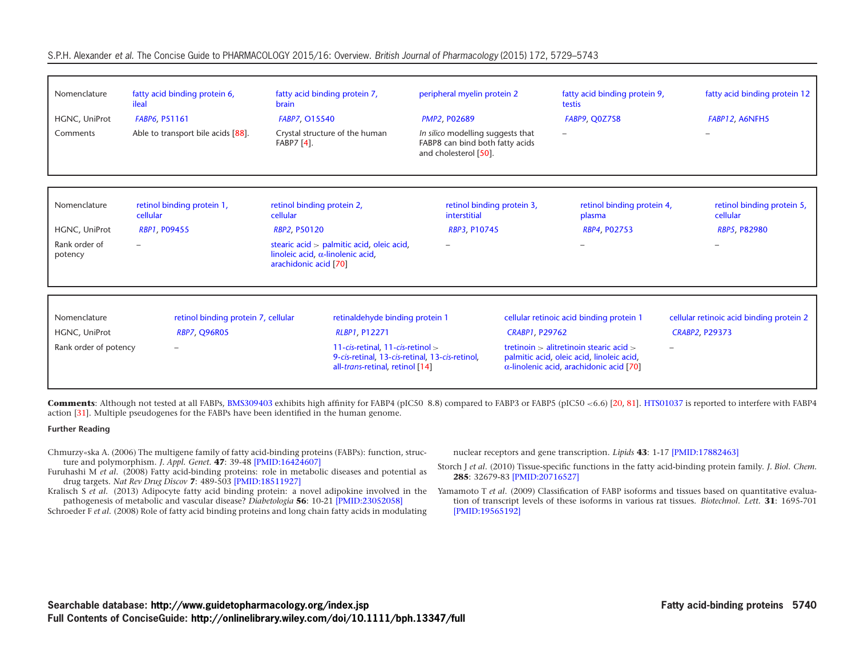### S.P.H. Alexander et al. The Concise Guide to PHARMACOLOGY 2015/16: Overview. British Journal of Pharmacology (2015) 172, 5729–5743

| Nomenclature<br>HGNC, UniProt | fatty acid binding protein 6,<br>ileal<br><b>FABP6, P51161</b> | brain<br><b>FABP7, 015540</b>          | fatty acid binding protein 7,                                                                                         | peripheral myelin protein 2<br><b>PMP2, P02689</b>                                            |                       | fatty acid binding protein 9,<br>testis<br>FABP9, Q0Z7S8                                                                                | fatty acid binding protein 12<br>FABP12, A6NFH5 |
|-------------------------------|----------------------------------------------------------------|----------------------------------------|-----------------------------------------------------------------------------------------------------------------------|-----------------------------------------------------------------------------------------------|-----------------------|-----------------------------------------------------------------------------------------------------------------------------------------|-------------------------------------------------|
| Comments                      | Able to transport bile acids [88].                             | FABP7 [4].                             | Crystal structure of the human                                                                                        | In silico modelling suggests that<br>FABP8 can bind both fatty acids<br>and cholesterol [50]. |                       | $\overline{\phantom{m}}$                                                                                                                |                                                 |
| Nomenclature                  | retinol binding protein 1,<br>cellular                         | retinol binding protein 2,<br>cellular |                                                                                                                       | retinol binding protein 3,<br>interstitial                                                    |                       | retinol binding protein 4,<br>plasma                                                                                                    | retinol binding protein 5,<br>cellular          |
| HGNC, UniProt                 | <b>RBP1, P09455</b>                                            | <b>RBP2, P50120</b>                    |                                                                                                                       | RBP3, P10745                                                                                  |                       | <b>RBP4, PO2753</b>                                                                                                                     | <b>RBP5, P82980</b>                             |
| Rank order of<br>potency      |                                                                | arachidonic acid [70]                  | stearic acid > palmitic acid, oleic acid,<br>linoleic acid, α-linolenic acid,                                         |                                                                                               |                       |                                                                                                                                         |                                                 |
| Nomenclature                  | retinol binding protein 7, cellular                            |                                        | retinaldehyde binding protein 1                                                                                       |                                                                                               |                       | cellular retinoic acid binding protein 1                                                                                                | cellular retinoic acid binding protein 2        |
| HGNC, UniProt                 | <b>RBP7, Q96R05</b>                                            |                                        | RLBP1, P12271                                                                                                         |                                                                                               | <b>CRABP1, P29762</b> |                                                                                                                                         | <b>CRABP2, P29373</b>                           |
| Rank order of potency         | $\overline{\phantom{m}}$                                       |                                        | 11-cis-retinal, 11-cis-retinol ><br>9-cis-retinal, 13-cis-retinal, 13-cis-retinol,<br>all-trans-retinal, retinol [14] |                                                                                               |                       | tretinoin > alitretinoin stearic acid ><br>palmitic acid, oleic acid, linoleic acid,<br>$\alpha$ -linolenic acid, arachidonic acid [70] | $\overline{\phantom{0}}$                        |

**Comments**: Although not tested at all FABPs, [BMS309403](http://www.guidetopharmacology.org/GRAC/LigandDisplayForward?ligandId=6735) exhibits high affinity for FABP4 (pIC50 8.8) compared to FABP3 or FABP5 (pIC50 <sup>&</sup>lt;6.6) [\[20,](http://www.ncbi.nlm.nih.gov/pubmed/17554340?dopt=AbstractPlus) [81\]](http://www.ncbi.nlm.nih.gov/pubmed/17502136?dopt=AbstractPlus). [HTS01037](http://www.guidetopharmacology.org/GRAC/LigandDisplayForward?ligandId=6736) is reported to interfere with FABP4 action [\[31\]](http://www.ncbi.nlm.nih.gov/pubmed/19754198?dopt=AbstractPlus). Multiple pseudogenes for the FABPs have been identified in the human genome.

### **Further Reading**

- Chmurzy«ska A. (2006) The multigene family of fatty acid-binding proteins (FABPs): function, structure and polymorphism. *J. Appl. Genet.* **47**: 39-48 [\[PMID:16424607\]](http://www.ncbi.nlm.nih.gov/pubmed/16424607?dopt=AbstractPlus)
- Furuhashi M *et al*. (2008) Fatty acid-binding proteins: role in metabolic diseases and potential as drug targets. *Nat Rev Drug Discov* **7**: 489-503 [\[PMID:18511927\]](http://www.ncbi.nlm.nih.gov/pubmed/18511927?dopt=AbstractPlus)
- Kralisch S *et al*. (2013) Adipocyte fatty acid binding protein: a novel adipokine involved in the pathogenesis of metabolic and vascular disease? *Diabetologia* **56**: 10-21 [\[PMID:23052058\]](http://www.ncbi.nlm.nih.gov/pubmed/23052058?dopt=AbstractPlus)

Schroeder F *et al*. (2008) Role of fatty acid binding proteins and long chain fatty acids in modulating

nuclear receptors and gene transcription. *Lipids* **43**: 1-17 [\[PMID:17882463\]](http://www.ncbi.nlm.nih.gov/pubmed/17882463?dopt=AbstractPlus)

- Storch J *et al*. (2010) Tissue-specific functions in the fatty acid-binding protein family. *J. Biol. Chem.* **285**: 32679-83 [\[PMID:20716527\]](http://www.ncbi.nlm.nih.gov/pubmed/20716527?dopt=AbstractPlus)
- Yamamoto T *et al*. (2009) Classification of FABP isoforms and tissues based on quantitative evaluation of transcript levels of these isoforms in various rat tissues. *Biotechnol. Lett.* **31**: 1695-701 [\[PMID:19565192\]](http://www.ncbi.nlm.nih.gov/pubmed/19565192?dopt=AbstractPlus)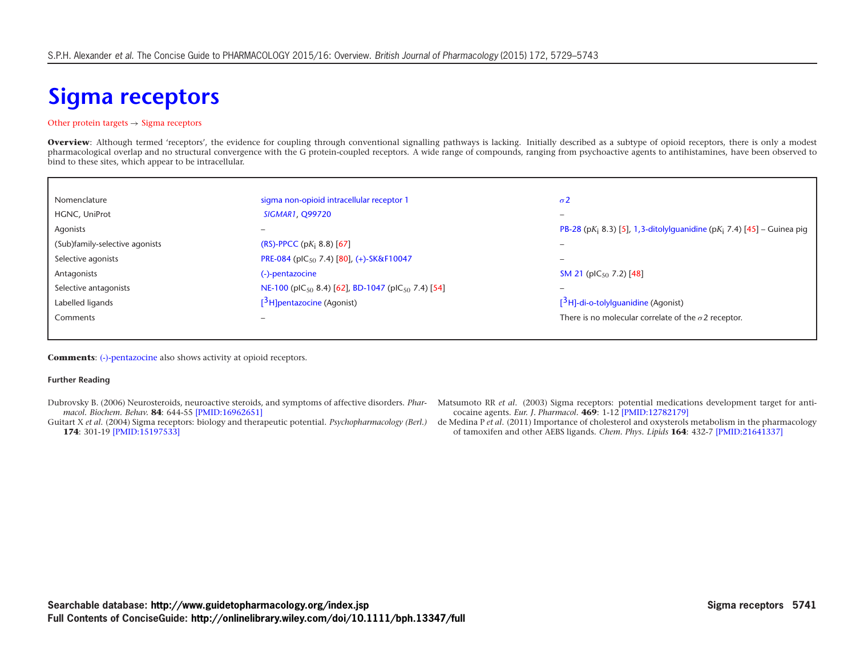# <span id="page-12-1"></span><span id="page-12-0"></span>**[Sigma receptors](http://www.guidetopharmacology.org/GRAC/FamilyDisplayForward?familyId=785)**

### [Other protein targets](#page-5-2)  $\rightarrow$  [Sigma receptors](#page-12-1)

**Overview**: Although termed 'receptors', the evidence for coupling through conventional signalling pathways is lacking. Initially described as a subtype of opioid receptors, there is only a modest pharmacological overlap and no structural convergence with the G protein-coupled receptors. A wide range of compounds, ranging from psychoactive agents to antihistamines, have been observed to bind to these sites, which appear to be intracellular.

| Nomenclature                   | sigma non-opioid intracellular receptor 1                                 | $\sigma$ 2                                                                                           |
|--------------------------------|---------------------------------------------------------------------------|------------------------------------------------------------------------------------------------------|
| HGNC, UniProt                  | <b>SIGMAR1, Q99720</b>                                                    | $\overline{\phantom{0}}$                                                                             |
| Agonists                       | $\overline{\phantom{a}}$                                                  | <b>PB-28</b> (pK <sub>i</sub> 8.3) [5], 1,3-ditolylguanidine (pK <sub>i</sub> 7.4) [45] – Guinea pig |
| (Sub)family-selective agonists | $(RS)$ -PPCC (p $K_i$ 8.8) [67]                                           | $\overline{\phantom{0}}$                                                                             |
| Selective agonists             | PRE-084 (pIC <sub>50</sub> 7.4) [80], (+)-SK&F10047                       |                                                                                                      |
| Antagonists                    | (-)-pentazocine                                                           | SM 21 (pIC <sub>50</sub> 7.2) [48]                                                                   |
| Selective antagonists          | NE-100 (pIC <sub>50</sub> 8.4) [62], BD-1047 (pIC <sub>50</sub> 7.4) [54] |                                                                                                      |
| Labelled ligands               | $[3H]$ pentazocine (Agonist)                                              | $[3H]$ -di-o-tolylguanidine (Agonist)                                                                |
| Comments                       | $\overline{\phantom{a}}$                                                  | There is no molecular correlate of the $\sigma$ 2 receptor.                                          |
|                                |                                                                           |                                                                                                      |

**Comments: [\(-\)-pentazocine](http://www.guidetopharmacology.org/GRAC/LigandDisplayForward?ligandId=1606) also shows activity at opioid receptors.** 

### **Further Reading**

- *macol. Biochem. Behav.* **84**: 644-55 [\[PMID:16962651\]](http://www.ncbi.nlm.nih.gov/pubmed/16962651?dopt=AbstractPlus)
- Guitart X *et al*. (2004) Sigma receptors: biology and therapeutic potential. *Psychopharmacology (Berl.)* de Medina P *et al*. (2011) Importance of cholesterol and oxysterols metabolism in the pharmacology **174**: 301-19 [\[PMID:15197533\]](http://www.ncbi.nlm.nih.gov/pubmed/15197533?dopt=AbstractPlus)
- Dubrovsky B. (2006) Neurosteroids, neuroactive steroids, and symptoms of affective disorders. *Phar-*Matsumoto RR *et al*. (2003) Sigma receptors: potential medications development target for anticocaine agents. *Eur. J. Pharmacol.* **469**: 1-12 [\[PMID:12782179\]](http://www.ncbi.nlm.nih.gov/pubmed/12782179?dopt=AbstractPlus)
	- of tamoxifen and other AEBS ligands. *Chem. Phys. Lipids* **164**: 432-7 [\[PMID:21641337\]](http://www.ncbi.nlm.nih.gov/pubmed/21641337?dopt=AbstractPlus)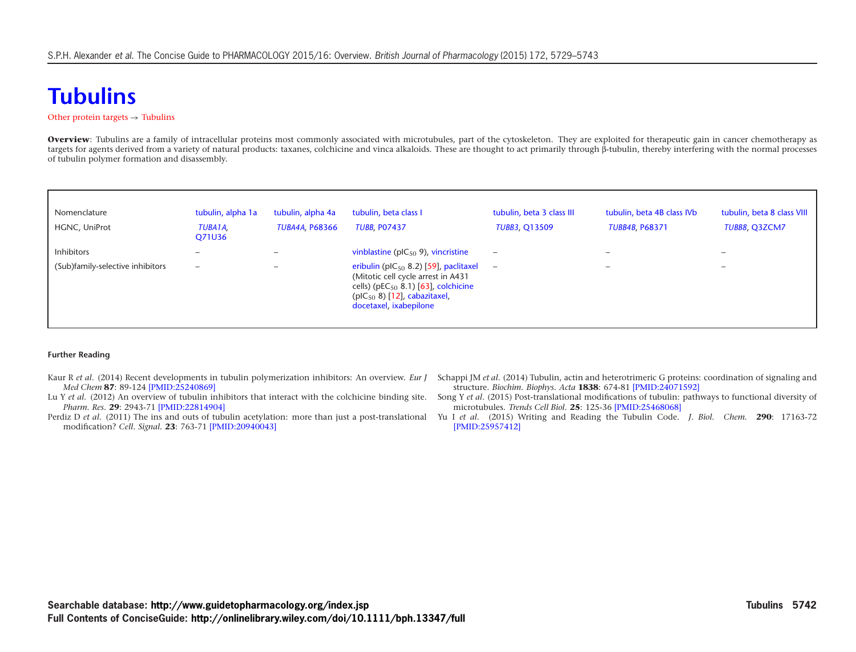# <span id="page-13-1"></span><span id="page-13-0"></span>**[Tubulins](http://www.guidetopharmacology.org/GRAC/FamilyDisplayForward?familyId=858)**

### [Other protein targets](#page-5-2)  $\rightarrow$  [Tubulins](#page-13-1)

**Overview**: Tubulins are a family of intracellular proteins most commonly associated with microtubules, part of the cytoskeleton. They are exploited for therapeutic gain in cancer chemotherapy as targets for agents derived from a variety of natural products: taxanes, colchicine and vinca alkaloids. These are thought to act primarily through β-tubulin, thereby interfering with the normal processes of tubulin polymer formation and disassembly.

| Nomenclature                     | tubulin, alpha 1a        | tubulin, alpha 4a        | tubulin, beta class I                                                                                                                                                                          | tubulin, beta 3 class III | tubulin, beta 4B class IVb | tubulin, beta 8 class VIII |
|----------------------------------|--------------------------|--------------------------|------------------------------------------------------------------------------------------------------------------------------------------------------------------------------------------------|---------------------------|----------------------------|----------------------------|
| HGNC, UniProt                    | TUBA1A,<br>Q71U36        | <b>TUBA4A, P68366</b>    | <b>TUBB, P07437</b>                                                                                                                                                                            | <b>TUBB3, Q13509</b>      | <b>TUBB4B, P68371</b>      | TUBB8, Q3ZCM7              |
| <b>Inhibitors</b>                | $\qquad \qquad$          | $\overline{\phantom{0}}$ | vinblastine ( $pIC_{50}$ 9), vincristine                                                                                                                                                       | $\overline{\phantom{0}}$  | $\overline{\phantom{0}}$   | $\overline{\phantom{a}}$   |
| (Sub)family-selective inhibitors | $\overline{\phantom{m}}$ |                          | eribulin (pIC $_{50}$ 8.2) [59], paclitaxel<br>(Mitotic cell cycle arrest in A431<br>cells) ( $pEC_{50}$ 8.1) [63], colchicine<br>( $pIC_{50}$ 8) [12], cabazitaxel,<br>docetaxel, ixabepilone | $\qquad \qquad -$         | $-$                        | $\overline{\phantom{a}}$   |

### **Further Reading**

- *Med Chem* **87**: 89-124 [\[PMID:25240869\]](http://www.ncbi.nlm.nih.gov/pubmed/25240869?dopt=AbstractPlus)
- Lu Y *et al.* (2012) An overview of tubulin inhibitors that interact with the colchicine binding site. Song Y *et al.* (2015) Post-translational modifications of tubulin: pathways to functional diversity of *Pharm. Res.* **29**: 2943-71 [\[PMID:22814904\]](http://www.ncbi.nlm.nih.gov/pubmed/22814904?dopt=AbstractPlus)
- Perdiz D *et al*. (2011) The ins and outs of tubulin acetylation: more than just a post-translational modification? *Cell. Signal.* **23**: 763-71 [\[PMID:20940043\]](http://www.ncbi.nlm.nih.gov/pubmed/20940043?dopt=AbstractPlus)
- Kaur R *et al*. (2014) Recent developments in tubulin polymerization inhibitors: An overview. *Eur J* Schappi JM *et al*. (2014) Tubulin, actin and heterotrimeric G proteins: coordination of signaling and structure. *Biochim. Biophys. Acta* **1838**: 674-81 [\[PMID:24071592\]](http://www.ncbi.nlm.nih.gov/pubmed/24071592?dopt=AbstractPlus)
	- microtubules. *Trends Cell Biol.* **25**: 125-36 [\[PMID:25468068\]](http://www.ncbi.nlm.nih.gov/pubmed/25468068?dopt=AbstractPlus)
	- Yu I *et al*. (2015) Writing and Reading the Tubulin Code. *J. Biol. Chem.* **290**: 17163-72 [\[PMID:25957412\]](http://www.ncbi.nlm.nih.gov/pubmed/25957412?dopt=AbstractPlus)